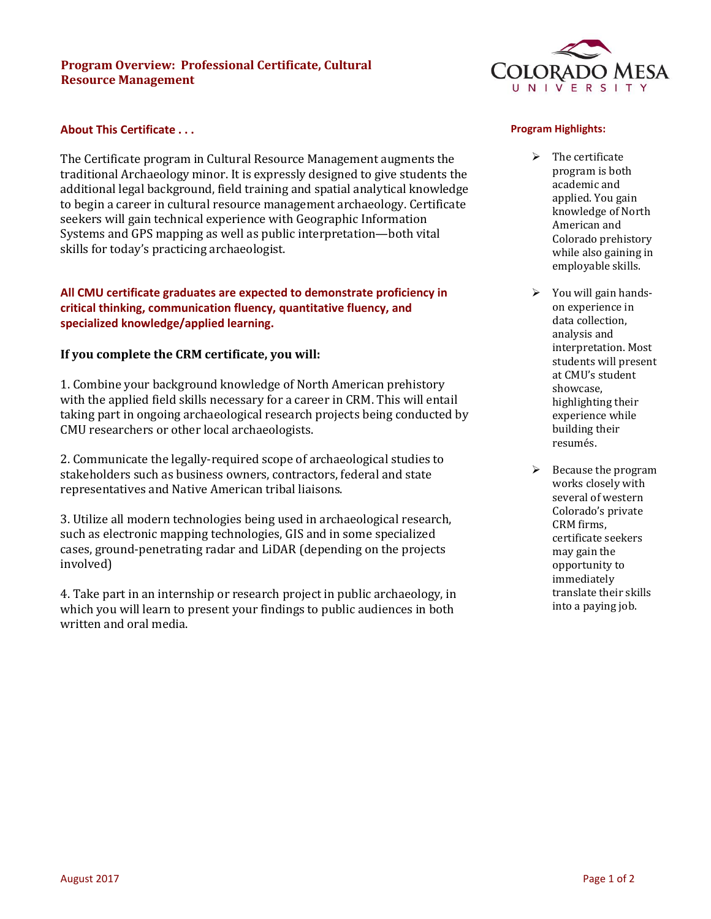## **Program Overview: Professional Certificate, Cultural Resource Management**

## **About This Certificate . . .**

The Certificate program in Cultural Resource Management augments the traditional Archaeology minor. It is expressly designed to give students the additional legal background, field training and spatial analytical knowledge to begin a career in cultural resource management archaeology. Certificate seekers will gain technical experience with Geographic Information Systems and GPS mapping as well as public interpretation—both vital skills for today's practicing archaeologist.

## **All CMU certificate graduates are expected to demonstrate proficiency in critical thinking, communication fluency, quantitative fluency, and specialized knowledge/applied learning.**

# **If you complete the CRM certificate, you will:**

1. Combine your background knowledge of North American prehistory with the applied field skills necessary for a career in CRM. This will entail taking part in ongoing archaeological research projects being conducted by CMU researchers or other local archaeologists.

2. Communicate the legally-required scope of archaeological studies to stakeholders such as business owners, contractors, federal and state representatives and Native American tribal liaisons.

3. Utilize all modern technologies being used in archaeological research, such as electronic mapping technologies, GIS and in some specialized cases, ground-penetrating radar and LiDAR (depending on the projects involved)

4. Take part in an internship or research project in public archaeology, in which you will learn to present your findings to public audiences in both written and oral media.



#### **Program Highlights:**

- $\triangleright$  The certificate program is both academic and applied. You gain knowledge of North American and Colorado prehistory while also gaining in employable skills.
- $\triangleright$  You will gain handson experience in data collection, analysis and interpretation. Most students will present at CMU's student showcase, highlighting their experience while building their resumés.
- $\triangleright$  Because the program works closely with several of western Colorado's private CRM firms, certificate seekers may gain the opportunity to immediately translate their skills into a paying job.